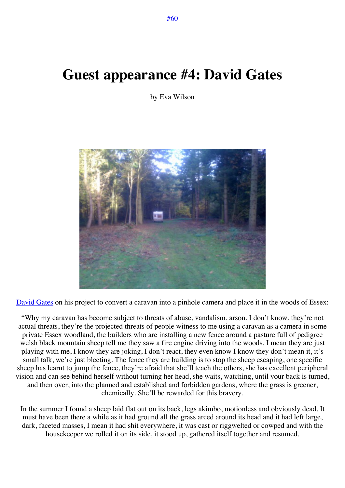## **Guest appearance #4: David Gates**

by Eva Wilson



David Gates on his project to convert a caravan into a pinhole camera and place it in the woods of Essex:

"Why my caravan has become subject to threats of abuse, vandalism, arson, I don't know, they're not actual threats, they're the projected threats of people witness to me using a caravan as a camera in some private Essex woodland, the builders who are installing a new fence around a pasture full of pedigree welsh black mountain sheep tell me they saw a fire engine driving into the woods, I mean they are just playing with me, I know they are joking, I don't react, they even know I know they don't mean it, it's small talk, we're just bleeting. The fence they are building is to stop the sheep escaping, one specific sheep has learnt to jump the fence, they're afraid that she'll teach the others, she has excellent peripheral vision and can see behind herself without turning her head, she waits, watching, until your back is turned, and then over, into the planned and established and forbidden gardens, where the grass is greener, chemically. She'll be rewarded for this bravery.

In the summer I found a sheep laid flat out on its back, legs akimbo, motionless and obviously dead. It must have been there a while as it had ground all the grass arced around its head and it had left large, dark, faceted masses, I mean it had shit everywhere, it was cast or riggwelted or cowped and with the housekeeper we rolled it on its side, it stood up, gathered itself together and resumed.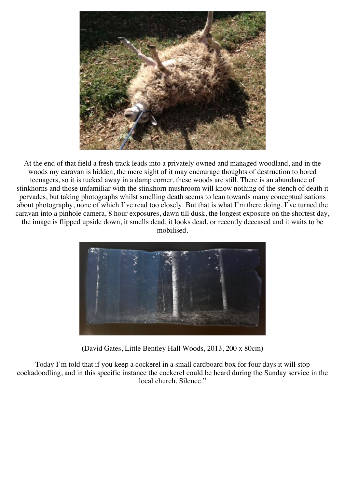

At the end of that field a fresh track leads into a privately owned and managed woodland, and in the woods my caravan is hidden, the mere sight of it may encourage thoughts of destruction to bored teenagers, so it is tucked away in a damp corner, these woods are still. There is an abundance of stinkhorns and those unfamiliar with the stinkhorn mushroom will know nothing of the stench of death it pervades, but taking photographs whilst smelling death seems to lean towards many conceptualisations about photography, none of which I've read too closely. But that is what I'm there doing, I've turned the caravan into a pinhole camera, 8 hour exposures, dawn till dusk, the longest exposure on the shortest day, the image is flipped upside down, it smells dead, it looks dead, or recently deceased and it waits to be mobilised.



(David Gates, Little Bentley Hall Woods, 2013, 200 x 80cm)

Today I'm told that if you keep a cockerel in a small cardboard box for four days it will stop cockadoodling, and in this specific instance the cockerel could be heard during the Sunday service in the local church. Silence."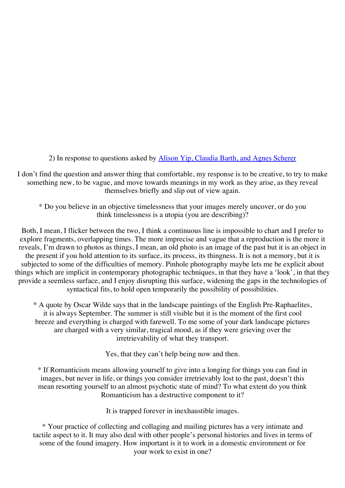2) In response to questions asked by Alison Yip, Claudia Barth, and Agnes Scherer

I don't find the question and answer thing that comfortable, my response is to be creative, to try to make something new, to be vague, and move towards meanings in my work as they arise, as they reveal themselves briefly and slip out of view again.

\* Do you believe in an objective timelessness that your images merely uncover, or do you think timelessness is a utopia (you are describing)?

Both, I mean, I flicker between the two, I think a continuous line is impossible to chart and I prefer to explore fragments, overlapping times. The more imprecise and vague that a reproduction is the more it reveals, I'm drawn to photos as things, I mean, an old photo is an image of the past but it is an object in the present if you hold attention to its surface, its process, its thingness. It is not a memory, but it is subjected to some of the difficulties of memory. Pinhole photography maybe lets me be explicit about things which are implicit in contemporary photographic techniques, in that they have a 'look', in that they provide a seemless surface, and I enjoy disrupting this surface, widening the gaps in the technologies of syntactical fits, to hold open temporarily the possibility of possibilities.

\* A quote by Oscar Wilde says that in the landscape paintings of the English Pre-Raphaelites, it is always September. The summer is still visible but it is the moment of the first cool breeze and everything is charged with farewell. To me some of your dark landscape pictures are charged with a very similar, tragical mood, as if they were grieving over the irretrievability of what they transport.

Yes, that they can't help being now and then.

\* If Romanticism means allowing yourself to give into a longing for things you can find in images, but never in life, or things you consider irretrievably lost to the past, doesn't this mean resorting yourself to an almost psychotic state of mind? To what extent do you think Romanticism has a destructive component to it?

It is trapped forever in inexhaustible images.

\* Your practice of collecting and collaging and mailing pictures has a very intimate and tactile aspect to it. It may also deal with other people's personal histories and lives in terms of some of the found imagery. How important is it to work in a domestic environment or for your work to exist in one?